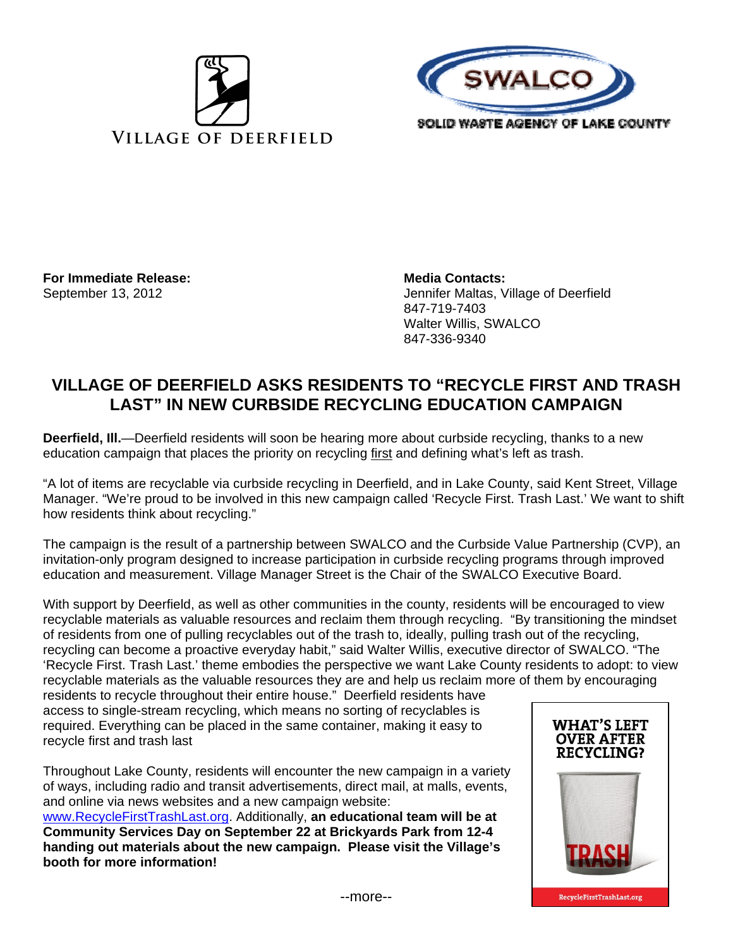



**For Immediate Release: Media Contacts:** Media Contacts:

September 13, 2012 Jennifer Maltas, Village of Deerfield 847-719-7403 Walter Willis, SWALCO 847-336-9340

## **VILLAGE OF DEERFIELD ASKS RESIDENTS TO "RECYCLE FIRST AND TRASH LAST" IN NEW CURBSIDE RECYCLING EDUCATION CAMPAIGN**

**Deerfield, Ill.**—Deerfield residents will soon be hearing more about curbside recycling, thanks to a new education campaign that places the priority on recycling first and defining what's left as trash.

"A lot of items are recyclable via curbside recycling in Deerfield, and in Lake County, said Kent Street, Village Manager. "We're proud to be involved in this new campaign called 'Recycle First. Trash Last.' We want to shift how residents think about recycling."

The campaign is the result of a partnership between SWALCO and the Curbside Value Partnership (CVP), an invitation-only program designed to increase participation in curbside recycling programs through improved education and measurement. Village Manager Street is the Chair of the SWALCO Executive Board.

With support by Deerfield, as well as other communities in the county, residents will be encouraged to view recyclable materials as valuable resources and reclaim them through recycling. "By transitioning the mindset of residents from one of pulling recyclables out of the trash to, ideally, pulling trash out of the recycling, recycling can become a proactive everyday habit," said Walter Willis, executive director of SWALCO. "The 'Recycle First. Trash Last.' theme embodies the perspective we want Lake County residents to adopt: to view recyclable materials as the valuable resources they are and help us reclaim more of them by encouraging

residents to recycle throughout their entire house." Deerfield residents have access to single-stream recycling, which means no sorting of recyclables is required. Everything can be placed in the same container, making it easy to recycle first and trash last

Throughout Lake County, residents will encounter the new campaign in a variety of ways, including radio and transit advertisements, direct mail, at malls, events, and online via news websites and a new campaign website: www.RecycleFirstTrashLast.org. Additionally, **an educational team will be at Community Services Day on September 22 at Brickyards Park from 12-4 handing out materials about the new campaign. Please visit the Village's booth for more information!**